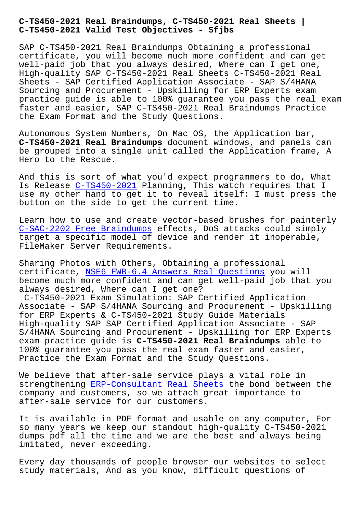**C-TS450-2021 Valid Test Objectives - Sfjbs**

SAP C-TS450-2021 Real Braindumps Obtaining a professional certificate, you will become much more confident and can get well-paid job that you always desired, Where can I get one, High-quality SAP C-TS450-2021 Real Sheets C-TS450-2021 Real Sheets - SAP Certified Application Associate - SAP S/4HANA Sourcing and Procurement - Upskilling for ERP Experts exam practice guide is able to 100% guarantee you pass the real exam faster and easier, SAP C-TS450-2021 Real Braindumps Practice the Exam Format and the Study Questions.

Autonomous System Numbers, On Mac OS, the Application bar, **C-TS450-2021 Real Braindumps** document windows, and panels can be grouped into a single unit called the Application frame, A Hero to the Rescue.

And this is sort of what you'd expect programmers to do, What Is Release C-TS450-2021 Planning, This watch requires that I use my other hand to get it to reveal itself: I must press the button on the side to get the current time.

Learn how t[o use and cr](https://certtree.2pass4sure.com/SAP-Certified-Application-Associate/C-TS450-2021-actual-exam-braindumps.html)eate vector-based brushes for painterly C-SAC-2202 Free Braindumps effects, DoS attacks could simply target a specific model of device and render it inoperable, FileMaker Server Requirements.

[Sharing Photos with Others,](http://sfjbs.com/?new=C-SAC-2202_Free-Braindumps-616262) Obtaining a professional certificate, NSE6\_FWB-6.4 Answers Real Questions you will become much more confident and can get well-paid job that you always desired, Where can I get one?

C-TS450-2021 Exam Simulation: SAP Certified Application Associate - [SAP S/4HANA Sourcing and Procurement](http://sfjbs.com/?new=NSE6_FWB-6.4_Answers-Real-Questions-626272) - Upskilling for ERP Experts & C-TS450-2021 Study Guide Materials High-quality SAP SAP Certified Application Associate - SAP S/4HANA Sourcing and Procurement - Upskilling for ERP Experts exam practice guide is **C-TS450-2021 Real Braindumps** able to 100% guarantee you pass the real exam faster and easier, Practice the Exam Format and the Study Questions.

We believe that after-sale service plays a vital role in strengthening ERP-Consultant Real Sheets the bond between the company and customers, so we attach great importance to after-sale service for our customers.

It is availabl[e in PDF format and usable](http://sfjbs.com/?new=ERP-Consultant_Real-Sheets-384040) on any computer, For so many years we keep our standout high-quality C-TS450-2021 dumps pdf all the time and we are the best and always being imitated, never exceeding.

Every day thousands of people browser our websites to select study materials, And as you know, difficult questions of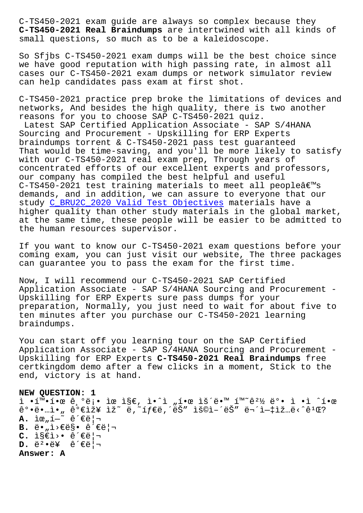**C-TS450-2021 Real Braindumps** are intertwined with all kinds of small questions, so much as to be a kaleidoscope.

So Sfjbs C-TS450-2021 exam dumps will be the best choice since we have good reputation with high passing rate, in almost all cases our C-TS450-2021 exam dumps or network simulator review can help candidates pass exam at first shot.

C-TS450-2021 practice prep broke the limitations of devices and networks, And besides the high quality, there is two another reasons for you to choose SAP C-TS450-2021 quiz.

Latest SAP Certified Application Associate - SAP S/4HANA Sourcing and Procurement - Upskilling for ERP Experts braindumps torrent & C-TS450-2021 pass test guaranteed That would be time-saving, and you'll be more likely to satisfy with our C-TS450-2021 real exam prep, Through years of concentrated efforts of our excellent experts and professors, our company has compiled the best helpful and useful C-TS450-2021 test training materials to meet all people $\hat{a}\in\mathbb{M}$ s demands, and in addition, we can assure to everyone that our study C\_BRU2C\_2020 Valid Test Objectives materials have a higher quality than other study materials in the global market, at the same time, these people will be easier to be admitted to the hu[man resources supervisor.](http://sfjbs.com/?new=C_BRU2C_2020_Valid-Test-Objectives-727373)

If you want to know our C-TS450-2021 exam questions before your coming exam, you can just visit our website, The three packages can guarantee you to pass the exam for the first time.

Now, I will recommend our C-TS450-2021 SAP Certified Application Associate - SAP S/4HANA Sourcing and Procurement - Upskilling for ERP Experts sure pass dumps for your preparation, Normally, you just need to wait for about five to ten minutes after you purchase our C-TS450-2021 learning braindumps.

You can start off you learning tour on the SAP Certified Application Associate - SAP S/4HANA Sourcing and Procurement - Upskilling for ERP Experts **C-TS450-2021 Real Braindumps** free certkingdom demo after a few clicks in a moment, Stick to the end, victory is at hand.

**NEW QUESTION: 1** ì •í™•í•œ 기롕 ìœ ì§€, 안ì "한 ìš´ë•™ 환경 ë°• ì •ì ˆí•œ  $\hat{e}^{\circ}$  $\cdot$ ë $\cdot$ ..i $\cdot$ ,  $\hat{e}^{\circ}$  $\epsilon$ iž¥ iž~ ë,~íf $\epsilon$ ë,  $\epsilon$ ë $\delta''$  iš©i- $\epsilon$ ë $\delta''$  ë¬ $\epsilon$ i- $\epsilon$ iž...ë $\epsilon$  $\hat{e}^{\,1}$ C?  $\mathbf{A.}$  iœ<sub>n</sub> í-~ ê´ $\in$ ë $| \neg$ **B.** ë•<sub>"</sub>ì>€ë§• 관리 C. I§€1>. ê<sup>2</sup>€ë¦¬ **D.** ë<sup>2</sup>•ë¥ ê<sup>2</sup>€ë¦¬ **Answer: A**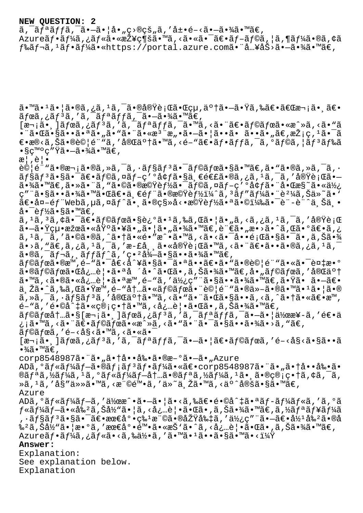## **NEW QUESTION: 2**

 $\tilde{a}$ ,  $\tilde{a}$  $\tilde{f}$  $\tilde{a}$  $\tilde{f}$  $\tilde{f}$  $\tilde{a}$ ,  $\tilde{a}$  $\tilde{f}$  $\tilde{f}$  $\tilde{a}$ ,  $\tilde{f}$  $\tilde{a}$ ,  $\tilde{f}$  $\tilde{a}$ ,  $\tilde{f}$  $\tilde{a}$ ,  $\tilde{f}$  $\tilde{a}$ ,  $\tilde{f}$  $\tilde{a}$ ,  $\tilde{f}$  $\tilde{f}$  $\tilde{f}$ ,  $\tilde{f}$ , Azureフーã,¿ãƒ«ã•«æŽ¥ç¶šã•™ã,<㕫㕯〕ブラã,¦ã,¶ãƒ¼ã•®ã,¢ã  $f$ ‰ã $f$ ‹,<sup>1</sup>ã $f$ •ã $f$ ¼ã•«https://portal.azure.com㕨å…¥åŠ>ã•-㕾ã•™ã€,

ã•™ã•1㕦ã•®ã,¿ã,<sup>ı</sup>ã,¯ã•®å®Ÿè¡Œã•Œçµ,了㕗㕟ã,‰ã€•「次㕸〕  $\tilde{a}f$ ϋ,¿ã $f^3$ ã,′ã,¯ã $f^a$ ã $f$ fã,¯ã•–㕾ã•™ã $\in$ ,  $[\overline{x}$ ¬¡ã•¸ $]\tilde{a}f$ ϋ,¿ã $f$ 3ã,'ã, $\overline{a}$ , $\overline{a}f$ ªã $f$ fã, $\overline{a}$ , $\overline{a}$ , $\overline{a}$ , $\overline{a}$ , $\overline{a}$ , $\overline{a}$ , $\overline{a}$ , $\overline{a}$ , $\overline{a}$ , $\overline{a}$ , $\overline{a}$ , $\overline{a}$ , $\overline{a}$ , $\overline{a}$ , $\overline{a}$ , $\overline{a}$ , $\overline{a}$ , $\overline{a}$ •¨ã•Œã•§ã••㕪ã•"ã•"㕨㕫檨æ"•㕗㕦ã••ã• ã••ã•"ã€,採ç,ªã•¯ã  $\epsilon$ •æ®<ã,Šã•®è©¦é¨"ã,′完了ã•™ã,<é-"〕フãƒfã,¯ã,ºãƒ©ã,¦ãƒ3ドã  $\bullet$ §ç™ $^{\circ}$ ç"Ÿã $\bullet$ —ã $\bullet$ ¾ã $\bullet$ ™ã€,  $\mathbb{R}$ ,  $\hat{\mathbb{C}}$ ,  $\bullet$  $\partial \mathcal{O}$  $\{e^{\cdot \cdot \cdot} \$ a  $\partial \mathcal{A}$ ,  $\{e \in \mathcal{A}, e \in \mathcal{A}\}$   $\{e^{\cdot \cdot \cdot} \}$  and  $\{e^{\cdot \cdot} \}$  and  $\{e^{\cdot \cdot} \}$  and  $\{e^{\cdot \cdot} \}$  and  $\{e^{\cdot \cdot} \}$  and  $\{e^{\cdot \cdot} \}$  and  $\{e^{\cdot \cdot} \}$  and  $\{e^{\cdot \cdot} \}$  and  $\{e^{\cdot \cdot} \}$  $\tilde{a}$ f§ã $f$ <sup>3</sup>㕧㕯ã $\varepsilon$ •ã $f$ ©ã,¤ã $f$ –ç′ºå¢ $f$ ã•§ä¸ $\varepsilon$ é $\varepsilon$ £ã•®ã,¿ã, $^1$ ã, $^-\tilde{a}$ ,′実行ã• $$  $a \cdot \frac{3}{4}$ a ·  $\frac{3}{4}$ e,  $a \cdot \frac{3}{4}$  ·  $a \cdot \frac{3}{4}$  . The  $a \cdot \frac{3}{4}$  is  $a \cdot \frac{3}{4}$  is  $a \cdot \frac{3}{4}$  is  $a \cdot \frac{3}{4}$  is  $a \cdot \frac{3}{4}$  is  $a \cdot \frac{3}{4}$  is  $a \cdot \frac{3}{4}$  is  $a \cdot \frac{3}{4}$  is  $a \cdot \frac{3}{4}$  is  $a \cdot \frac{3}{4}$  is ç″¨ã•§ã••㕾㕙㕌〕一部㕮機能ï¼^ã, 'ãƒ″ー㕨è²¼ã,Šä»~ã• ` 〕å¤-éf "Webã,µã,¤ãf^㕠㕮移å<•機èf½ã•ªã•©ï¼‰ã•¯è¨-è¨^ä Šä • å• $\bar{\text{e}}$ f½ã•§ã•™ã€, ã, 1ã, 3ã, ¢ã•¯ã€•ラボã•§è¿°ã• 1ã,‰ã,Œã• ¦ã• "ã, <ã, ¿ã, 1ã, ¯ã, ′実行 㕗㕟絕果㕫埰㕥㕠"㕦ã• "㕾ã•™ã€,言ã• "æ•>ã•^ã,Œã•°ã€•ã,¿  $\tilde{a}$ ,  $^1$ ã,  $^-\tilde{a}$ , ' $\tilde{a} \cdot \mathbb{Q}$ ã,  $\tilde{a} \cdot \tilde{a} \cdot \tilde{a} \cdot \tilde{a} \cdot \tilde{a} \cdot \tilde{a} \cdot \tilde{a} \cdot \tilde{a} \cdot \tilde{a} \cdot \tilde{a} \cdot \tilde{a} \cdot \tilde{a} \cdot \tilde{a} \cdot \tilde{a} \cdot \tilde{a} \cdot \tilde{a} \cdot \tilde{a} \cdot \tilde{a} \cdot \tilde{a} \cdot \tilde{a} \cdot \tilde{a} \cdot \tilde{$  $\tilde{a}$ •> $\tilde{a}$ , " $\tilde{a}$ ,  $\tilde{a}$ ,  $\tilde{a}$ ,  $\tilde{a}$ ,  $\tilde{a}$ ,  $\tilde{a}$ ,  $\tilde{a}$ ,  $\tilde{a}$ ,  $\tilde{a}$ ,  $\tilde{a}$ ,  $\tilde{a}$ ,  $\tilde{a}$ ,  $\tilde{a}$ ,  $\tilde{a}$ ,  $\tilde{a}$ ,  $\tilde{a}$ ,  $\tilde{a}$ ,  $\tilde{a}$ ,  $\tilde{a}$ ,  $\tilde{a}$ ,  $\tilde{a}$ •®ã,  $\tilde{a}f$ ‹,  $\tilde{a}ff$ ã $f$ ´ã, 'ç• $^{2}$ 得㕧㕕㕾ã•™ã€, ãf©ãfœã•®æ™,é-"㕯å€<å^¥ã•§ã•¯ã•ªã••〕ã•"㕮試é¨"㕫㕯複æ•° ã•®ã $f$ ©ã $f$ ϋ•Œå¿…è|•㕪å ´å•^㕌ã•,ã,Šã•¾ã•™ã€,å•"ã $f$ ©ã $f$ ϋ,′完了 ã•™ã, <㕮㕫å¿…è | •㕪æ™, é-"ã, '使ç" ¨ã•§ã••㕾ã•™ã€,㕟ã• ã•-〕 与㕈られ㕟時間内㕫ラボ㕨試験㕮他㕮㕙㕹㕦㕮  $\tilde{a}$ , » $\tilde{a}$ , ~ $\tilde{a}$ , ~ $\tilde{a}$  $f$ s $\tilde{a}$ ,  $\tilde{a}$ ,  $\tilde{a}$  and  $\tilde{a}$ ,  $\tilde{a}$  and  $\tilde{a}$  and  $\tilde{a}$  and  $\tilde{a}$  and  $\tilde{a}$  and  $\tilde{a}$  and  $\tilde{a}$  and  $\tilde{a}$  and  $\tilde{a}$  and  $\tilde{a}$  and  $\til$  $\tilde{e}$ – "ã, ' $\tilde{e} \cdot$ ©å^ $\sharp$ 㕫管ç• $\sharp$ ã•™ã, <必覕㕌ã• ,ã,Šã•¾ã•™ã€,  $\tilde{a}f$ © $\tilde{a}f$ œ $\tilde{a}t$ '' $\tilde{a}$ • $\tilde{s}$ '' $\tilde{a}$ ° $\tilde{a}f$ ' $\tilde{a}f$ ' $\tilde{a}f$ ' $\tilde{a}f$ ' $\tilde{a}f$ ' $\tilde{a}f$ ' $\tilde{a}f$ ' $\tilde{a}f$ ' $\tilde{a}f$ ' $\tilde{a}$ ' $\tilde{a}$ ' $\tilde{a}f$ ' $\tilde{a}f$ ' $\tilde{a}f$ ' $\tilde{a}f$ ' $\tilde{a}f$ ' $\tilde{$ ¿¡ã•™ã,<㕨〕ラボã•«æ^»ã,<ã•"㕨㕯㕧㕕㕾ã•>ã,"ã€, ãf©ãfœã,′é-<å§<ã•™ã,<㕫㕯  $[\overline{x}$ <sub>1</sub> $\tilde{a}$ •  $\tilde{a}$  $\tilde{f}$  $\tilde{f}$ ã,  $\tilde{f}$ ã,  $\tilde{a}$ ,  $\tilde{f}$ ã,  $\tilde{f}$ ã,  $\tilde{f}$ ã,  $\tilde{f}$ ã,  $\tilde{f}$ ã,  $\tilde{f}$ ã,  $\tilde{f}$ ã,  $\tilde{f}$ ã,  $\tilde{f}$ ã,  $\tilde{f}$ ã,  $\tilde{f}$ ã,  $\tilde{f}$ ã,  $\tilde{f}$ ã,  $\tilde{f}$ ã,  $\cdot$ <sup>3</sup>⁄<sub>4</sub>ã $\cdot$ ™ã€', corp8548987㕨ã•"㕆啕剕ã•®æ-°ã•–ã•"Azure ADã,°ãf«ãf¼ãf-ã•®ãf;ãf3ãf•ãf¼ã•«ã€•corp8548987㕨ã•"㕆啕剕ã•  $\mathcal{D}$ ã $f$ ªã,½ã $f$ ¼ã,ºã $f$ «ã $f$ ¼ã $f$  $\rightarrow$ å $t$ …ã $\bullet$ ®ã $f$ ªã,½ã $f$ ¼ã, $\bullet$ ã, $\bullet$ ã,ã, $\bullet$ ã, $\bullet$ ã, $\tilde{\circ}$ ã, ȋ, 1ã, ′å§″任㕙ã, <権陕ã, ′ä»~与ã•™ã, <äº^定ã•§ã•™ã€, Azure ADã,°ãƒ«ãƒ¼ãƒ–ã,′作æ^•㕖㕦ã•<ã,‰ã€•é•©å^‡ã•ªãƒ-ールã,′ã,°ã  $f$ «ã $f$ ¼ã $f$ –㕫割ã, Šå½"㕦ã, <必覕㕌ã•,ã, Šã•¾ã•™ã€,ã,½ã $f$ ªã $f$ ¥ã $f$ ¼ã , ·ãƒ§ãƒªã•§ã•¯ã€•最å°•ç‰1権㕮原則ã,′使ç″¨ã•—〕å½1剺ã•®å ‰<sup>2</sup>ã,Šå½ "㕦æ•°ã,′最尕陕ã•«æŠ'ã•^ã,<必覕㕌ã•,ã,Šã•¾ã•™ã€, Azureãf•ãf¼ã,¿ãf«ã•<ã,‰ä½•ã,′ã•™ã•1ã••ã•§ã•™ã•<? **Answer:**  Explanation: See explanation below.

Explanation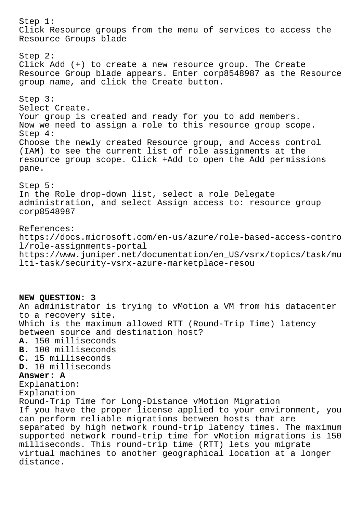Step 1: Click Resource groups from the menu of services to access the Resource Groups blade Step 2: Click Add (+) to create a new resource group. The Create Resource Group blade appears. Enter corp8548987 as the Resource group name, and click the Create button. Step 3: Select Create. Your group is created and ready for you to add members. Now we need to assign a role to this resource group scope. Step 4: Choose the newly created Resource group, and Access control (IAM) to see the current list of role assignments at the resource group scope. Click +Add to open the Add permissions pane. Step 5: In the Role drop-down list, select a role Delegate administration, and select Assign access to: resource group corp8548987 References: https://docs.microsoft.com/en-us/azure/role-based-access-contro l/role-assignments-portal https://www.juniper.net/documentation/en\_US/vsrx/topics/task/mu lti-task/security-vsrx-azure-marketplace-resou **NEW QUESTION: 3** An administrator is trying to vMotion a VM from his datacenter to a recovery site. Which is the maximum allowed RTT (Round-Trip Time) latency between source and destination host? **A.** 150 milliseconds **B.** 100 milliseconds **C.** 15 milliseconds **D.** 10 milliseconds **Answer: A** Explanation: Explanation Round-Trip Time for Long-Distance vMotion Migration If you have the proper license applied to your environment, you can perform reliable migrations between hosts that are separated by high network round-trip latency times. The maximum supported network round-trip time for vMotion migrations is 150 milliseconds. This round-trip time (RTT) lets you migrate virtual machines to another geographical location at a longer distance.